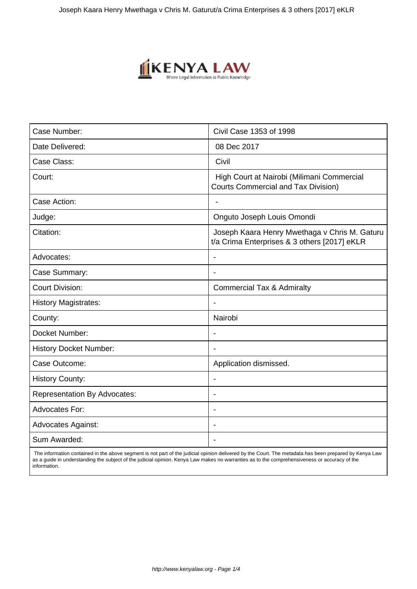

| Case Number:                        | Civil Case 1353 of 1998                                                                       |
|-------------------------------------|-----------------------------------------------------------------------------------------------|
| Date Delivered:                     | 08 Dec 2017                                                                                   |
| Case Class:                         | Civil                                                                                         |
| Court:                              | High Court at Nairobi (Milimani Commercial<br><b>Courts Commercial and Tax Division)</b>      |
| Case Action:                        |                                                                                               |
| Judge:                              | Onguto Joseph Louis Omondi                                                                    |
| Citation:                           | Joseph Kaara Henry Mwethaga v Chris M. Gaturu<br>t/a Crima Enterprises & 3 others [2017] eKLR |
| Advocates:                          |                                                                                               |
| Case Summary:                       | ÷.                                                                                            |
| <b>Court Division:</b>              | <b>Commercial Tax &amp; Admiralty</b>                                                         |
| <b>History Magistrates:</b>         |                                                                                               |
| County:                             | Nairobi                                                                                       |
| Docket Number:                      | $\blacksquare$                                                                                |
| <b>History Docket Number:</b>       |                                                                                               |
| Case Outcome:                       | Application dismissed.                                                                        |
| <b>History County:</b>              |                                                                                               |
| <b>Representation By Advocates:</b> | $\overline{\phantom{0}}$                                                                      |
| <b>Advocates For:</b>               | $\overline{\phantom{a}}$                                                                      |
| <b>Advocates Against:</b>           |                                                                                               |
| Sum Awarded:                        |                                                                                               |

 The information contained in the above segment is not part of the judicial opinion delivered by the Court. The metadata has been prepared by Kenya Law as a guide in understanding the subject of the judicial opinion. Kenya Law makes no warranties as to the comprehensiveness or accuracy of the information.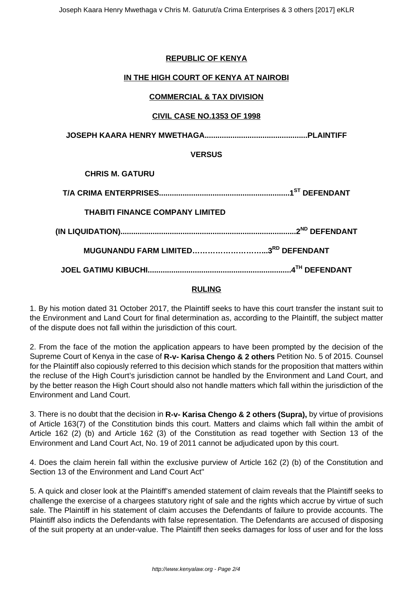## **REPUBLIC OF KENYA**

### **IN THE HIGH COURT OF KENYA AT NAIROBI**

## **COMMERCIAL & TAX DIVISION**

## **CIVIL CASE NO.1353 OF 1998**

**JOSEPH KAARA HENRY MWETHAGA................................................PLAINTIFF**

### **VERSUS**

**CHRIS M. GATURU**

| <b>THABITI FINANCE COMPANY LIMITED</b> |  |
|----------------------------------------|--|
|                                        |  |
| MUGUNANDU FARM LIMITED3RD DEFENDANT    |  |
|                                        |  |

### **RULING**

1. By his motion dated 31 October 2017, the Plaintiff seeks to have this court transfer the instant suit to the Environment and Land Court for final determination as, according to the Plaintiff, the subject matter of the dispute does not fall within the jurisdiction of this court.

2. From the face of the motion the application appears to have been prompted by the decision of the Supreme Court of Kenya in the case of **R-v- Karisa Chengo & 2 others** Petition No. 5 of 2015. Counsel for the Plaintiff also copiously referred to this decision which stands for the proposition that matters within the recluse of the High Court's jurisdiction cannot be handled by the Environment and Land Court, and by the better reason the High Court should also not handle matters which fall within the jurisdiction of the Environment and Land Court.

3. There is no doubt that the decision in **R-v- Karisa Chengo & 2 others (Supra),** by virtue of provisions of Article 163(7) of the Constitution binds this court. Matters and claims which fall within the ambit of Article 162 (2) (b) and Article 162 (3) of the Constitution as read together with Section 13 of the Environment and Land Court Act, No. 19 of 2011 cannot be adjudicated upon by this court.

4. Does the claim herein fall within the exclusive purview of Article 162 (2) (b) of the Constitution and Section 13 of the Environment and Land Court Act"

5. A quick and closer look at the Plaintiff's amended statement of claim reveals that the Plaintiff seeks to challenge the exercise of a chargees statutory right of sale and the rights which accrue by virtue of such sale. The Plaintiff in his statement of claim accuses the Defendants of failure to provide accounts. The Plaintiff also indicts the Defendants with false representation. The Defendants are accused of disposing of the suit property at an under-value. The Plaintiff then seeks damages for loss of user and for the loss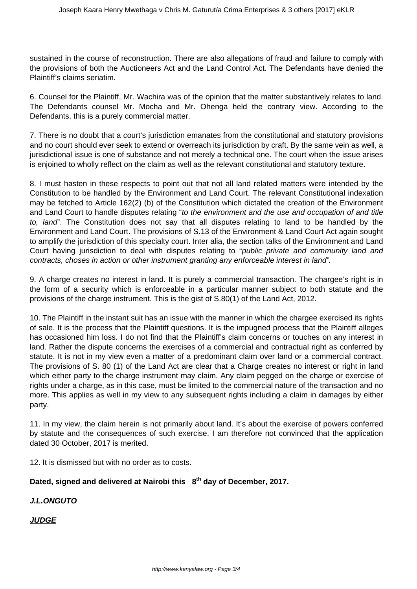sustained in the course of reconstruction. There are also allegations of fraud and failure to comply with the provisions of both the Auctioneers Act and the Land Control Act. The Defendants have denied the Plaintiff's claims seriatim.

6. Counsel for the Plaintiff, Mr. Wachira was of the opinion that the matter substantively relates to land. The Defendants counsel Mr. Mocha and Mr. Ohenga held the contrary view. According to the Defendants, this is a purely commercial matter.

7. There is no doubt that a court's jurisdiction emanates from the constitutional and statutory provisions and no court should ever seek to extend or overreach its jurisdiction by craft. By the same vein as well, a jurisdictional issue is one of substance and not merely a technical one. The court when the issue arises is enjoined to wholly reflect on the claim as well as the relevant constitutional and statutory texture.

8. I must hasten in these respects to point out that not all land related matters were intended by the Constitution to be handled by the Environment and Land Court. The relevant Constitutional indexation may be fetched to Article 162(2) (b) of the Constitution which dictated the creation of the Environment and Land Court to handle disputes relating "to the environment and the use and occupation of and title to, land". The Constitution does not say that all disputes relating to land to be handled by the Environment and Land Court. The provisions of S.13 of the Environment & Land Court Act again sought to amplify the jurisdiction of this specialty court. Inter alia, the section talks of the Environment and Land Court having jurisdiction to deal with disputes relating to "public private and community land and contracts, choses in action or other instrument granting any enforceable interest in land".

9. A charge creates no interest in land. It is purely a commercial transaction. The chargee's right is in the form of a security which is enforceable in a particular manner subject to both statute and the provisions of the charge instrument. This is the gist of S.80(1) of the Land Act, 2012.

10. The Plaintiff in the instant suit has an issue with the manner in which the chargee exercised its rights of sale. It is the process that the Plaintiff questions. It is the impugned process that the Plaintiff alleges has occasioned him loss. I do not find that the Plaintiff's claim concerns or touches on any interest in land. Rather the dispute concerns the exercises of a commercial and contractual right as conferred by statute. It is not in my view even a matter of a predominant claim over land or a commercial contract. The provisions of S. 80 (1) of the Land Act are clear that a Charge creates no interest or right in land which either party to the charge instrument may claim. Any claim pegged on the charge or exercise of rights under a charge, as in this case, must be limited to the commercial nature of the transaction and no more. This applies as well in my view to any subsequent rights including a claim in damages by either party.

11. In my view, the claim herein is not primarily about land. It's about the exercise of powers conferred by statute and the consequences of such exercise. I am therefore not convinced that the application dated 30 October, 2017 is merited.

12. It is dismissed but with no order as to costs.

# **Dated, signed and delivered at Nairobi this 8th day of December, 2017.**

**J.L.ONGUTO**

**JUDGE**